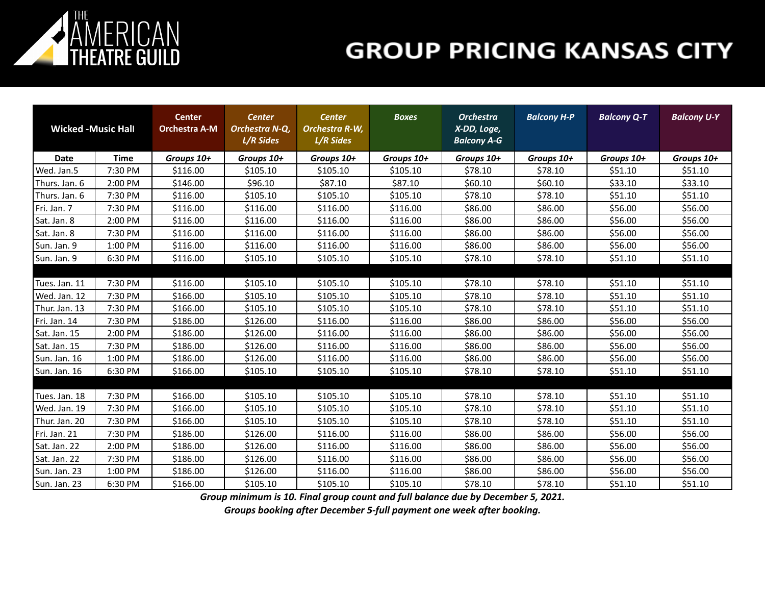

| <b>Wicked -Music Hall</b> |             | <b>Center</b><br><b>Orchestra A-M</b> | <b>Center</b><br>Orchestra N-Q,<br>L/R Sides | <b>Center</b><br>Orchestra R-W,<br>L/R Sides | <b>Boxes</b> | <b>Orchestra</b><br>X-DD, Loge,<br><b>Balcony A-G</b> | <b>Balcony H-P</b> | <b>Balcony Q-T</b> | <b>Balcony U-Y</b> |
|---------------------------|-------------|---------------------------------------|----------------------------------------------|----------------------------------------------|--------------|-------------------------------------------------------|--------------------|--------------------|--------------------|
| Date                      | <b>Time</b> | Groups 10+                            | Groups 10+                                   | Groups 10+                                   | Groups 10+   | Groups 10+                                            | Groups 10+         | Groups 10+         | Groups 10+         |
| Wed. Jan.5                | 7:30 PM     | \$116.00                              | \$105.10                                     | \$105.10                                     | \$105.10     | \$78.10                                               | \$78.10            | \$51.10            | \$51.10            |
| Thurs. Jan. 6             | 2:00 PM     | \$146.00                              | \$96.10                                      | \$87.10                                      | \$87.10      | \$60.10                                               | \$60.10            | \$33.10            | \$33.10            |
| Thurs. Jan. 6             | 7:30 PM     | \$116.00                              | \$105.10                                     | \$105.10                                     | \$105.10     | \$78.10                                               | \$78.10            | \$51.10            | \$51.10            |
| Fri. Jan. 7               | 7:30 PM     | \$116.00                              | \$116.00                                     | \$116.00                                     | \$116.00     | \$86.00                                               | \$86.00            | \$56.00            | \$56.00            |
| Sat. Jan. 8               | 2:00 PM     | \$116.00                              | \$116.00                                     | \$116.00                                     | \$116.00     | \$86.00                                               | \$86.00            | \$56.00            | \$56.00            |
| Sat. Jan. 8               | 7:30 PM     | \$116.00                              | \$116.00                                     | \$116.00                                     | \$116.00     | \$86.00                                               | \$86.00            | \$56.00            | \$56.00            |
| Sun. Jan. 9               | 1:00 PM     | \$116.00                              | \$116.00                                     | \$116.00                                     | \$116.00     | \$86.00                                               | \$86.00            | \$56.00            | \$56.00            |
| Sun. Jan. 9               | 6:30 PM     | \$116.00                              | \$105.10                                     | \$105.10                                     | \$105.10     | \$78.10                                               | \$78.10            | \$51.10            | \$51.10            |
|                           |             |                                       |                                              |                                              |              |                                                       |                    |                    |                    |
| Tues. Jan. 11             | 7:30 PM     | \$116.00                              | \$105.10                                     | \$105.10                                     | \$105.10     | \$78.10                                               | \$78.10            | \$51.10            | \$51.10            |
| Wed. Jan. 12              | 7:30 PM     | \$166.00                              | \$105.10                                     | \$105.10                                     | \$105.10     | \$78.10                                               | \$78.10            | \$51.10            | \$51.10            |
| Thur. Jan. 13             | 7:30 PM     | \$166.00                              | \$105.10                                     | \$105.10                                     | \$105.10     | \$78.10                                               | \$78.10            | \$51.10            | \$51.10            |
| Fri. Jan. 14              | 7:30 PM     | \$186.00                              | \$126.00                                     | \$116.00                                     | \$116.00     | \$86.00                                               | \$86.00            | \$56.00            | \$56.00            |
| Sat. Jan. 15              | 2:00 PM     | \$186.00                              | \$126.00                                     | \$116.00                                     | \$116.00     | \$86.00                                               | \$86.00            | \$56.00            | \$56.00            |
| Sat. Jan. 15              | 7:30 PM     | \$186.00                              | \$126.00                                     | \$116.00                                     | \$116.00     | \$86.00                                               | \$86.00            | \$56.00            | \$56.00            |
| Sun. Jan. 16              | 1:00 PM     | \$186.00                              | \$126.00                                     | \$116.00                                     | \$116.00     | \$86.00                                               | \$86.00            | \$56.00            | \$56.00            |
| Sun. Jan. 16              | 6:30 PM     | \$166.00                              | \$105.10                                     | \$105.10                                     | \$105.10     | \$78.10                                               | \$78.10            | \$51.10            | \$51.10            |
|                           |             |                                       |                                              |                                              |              |                                                       |                    |                    |                    |
| Tues. Jan. 18             | 7:30 PM     | \$166.00                              | \$105.10                                     | \$105.10                                     | \$105.10     | \$78.10                                               | \$78.10            | \$51.10            | \$51.10            |
| Wed. Jan. 19              | 7:30 PM     | \$166.00                              | \$105.10                                     | \$105.10                                     | \$105.10     | \$78.10                                               | \$78.10            | \$51.10            | \$51.10            |
| Thur. Jan. 20             | 7:30 PM     | \$166.00                              | \$105.10                                     | \$105.10                                     | \$105.10     | \$78.10                                               | \$78.10            | \$51.10            | \$51.10            |
| Fri. Jan. 21              | 7:30 PM     | \$186.00                              | \$126.00                                     | \$116.00                                     | \$116.00     | \$86.00                                               | \$86.00            | \$56.00            | \$56.00            |
| Sat. Jan. 22              | 2:00 PM     | \$186.00                              | \$126.00                                     | \$116.00                                     | \$116.00     | \$86.00                                               | \$86.00            | \$56.00            | \$56.00            |
| Sat. Jan. 22              | 7:30 PM     | \$186.00                              | \$126.00                                     | \$116.00                                     | \$116.00     | \$86.00                                               | \$86.00            | \$56.00            | \$56.00            |
| Sun. Jan. 23              | 1:00 PM     | \$186.00                              | \$126.00                                     | \$116.00                                     | \$116.00     | \$86.00                                               | \$86.00            | \$56.00            | \$56.00            |
| Sun. Jan. 23              | 6:30 PM     | \$166.00                              | \$105.10                                     | \$105.10                                     | \$105.10     | \$78.10                                               | \$78.10            | \$51.10            | \$51.10            |

*Group minimum is 10. Final group count and full balance due by December 5, 2021.*

*Groups booking after December 5-full payment one week after booking.*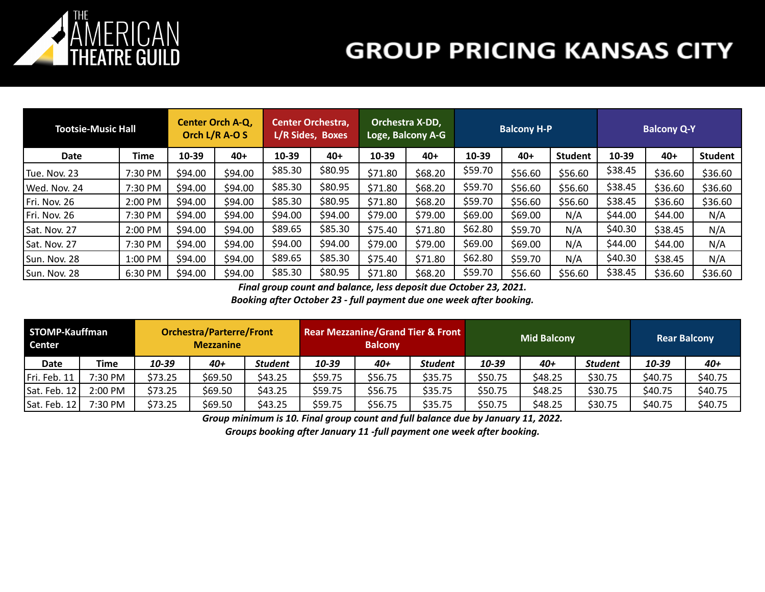

| <b>Tootsie-Music Hall</b> |         | Center Orch A-Q,<br>Orch L/R A-O S |         | <b>Center Orchestra,</b><br>L/R Sides, Boxes |         | Orchestra X-DD,<br>Loge, Balcony A-G |         |         | <b>Balcony H-P</b> |                | <b>Balcony Q-Y</b> |         |                |
|---------------------------|---------|------------------------------------|---------|----------------------------------------------|---------|--------------------------------------|---------|---------|--------------------|----------------|--------------------|---------|----------------|
| <b>Date</b>               | Time    | 10-39                              | $40+$   | 10-39                                        | $40+$   | 10-39                                | $40+$   | 10-39   | $40+$              | <b>Student</b> | 10-39              | $40+$   | <b>Student</b> |
| Tue. Nov. 23              | 7:30 PM | \$94.00                            | \$94.00 | \$85.30                                      | \$80.95 | \$71.80                              | \$68.20 | \$59.70 | \$56.60            | \$56.60        | \$38.45            | \$36.60 | \$36.60        |
| Wed. Nov. 24              | 7:30 PM | \$94.00                            | \$94.00 | \$85.30                                      | \$80.95 | \$71.80                              | \$68.20 | \$59.70 | \$56.60            | \$56.60        | \$38.45            | \$36.60 | \$36.60        |
| Fri. Nov. 26              | 2:00 PM | \$94.00                            | \$94.00 | \$85.30                                      | \$80.95 | \$71.80                              | \$68.20 | \$59.70 | \$56.60            | \$56.60        | \$38.45            | \$36.60 | \$36.60        |
| Fri. Nov. 26              | 7:30 PM | \$94.00                            | \$94.00 | \$94.00                                      | \$94.00 | \$79.00                              | \$79.00 | \$69.00 | \$69.00            | N/A            | \$44.00            | \$44.00 | N/A            |
| Sat. Nov. 27              | 2:00 PM | \$94.00                            | \$94.00 | \$89.65                                      | \$85.30 | \$75.40                              | \$71.80 | \$62.80 | \$59.70            | N/A            | \$40.30            | \$38.45 | N/A            |
| Sat. Nov. 27              | 7:30 PM | \$94.00                            | \$94.00 | \$94.00                                      | \$94.00 | \$79.00                              | \$79.00 | \$69.00 | \$69.00            | N/A            | \$44.00            | \$44.00 | N/A            |
| Sun. Nov. 28              | 1:00 PM | \$94.00                            | \$94.00 | \$89.65                                      | \$85.30 | \$75.40                              | \$71.80 | \$62.80 | \$59.70            | N/A            | \$40.30            | \$38.45 | N/A            |
| Sun. Nov. 28              | 6:30 PM | \$94.00                            | \$94.00 | \$85.30                                      | \$80.95 | \$71.80                              | \$68.20 | \$59.70 | \$56.60            | \$56.60        | \$38.45            | \$36.60 | \$36.60        |

*Final group count and balance, less deposit due October 23, 2021.*

*Booking after October 23 - full payment due one week after booking.*

| STOMP-Kauffman<br>Center |           |         | <b>Orchestra/Parterre/Front</b><br><b>Mezzanine</b> |                |         | <b>Balcony</b> | <b>Rear Mezzanine/Grand Tier &amp; Front</b> |         | <b>Mid Balcony</b> | <b>Rear Balcony</b> |         |         |
|--------------------------|-----------|---------|-----------------------------------------------------|----------------|---------|----------------|----------------------------------------------|---------|--------------------|---------------------|---------|---------|
| <b>Date</b>              | Time      | 10-39   | 40+                                                 | <b>Student</b> | 10-39   | 40+            | <b>Student</b>                               | 10-39   | 40+                | <b>Student</b>      | 10-39   | $40+$   |
| Fri. Feb. 11             | $7:30$ PM | \$73.25 | \$69.50                                             | \$43.25        | \$59.75 | \$56.75        | \$35.75                                      | \$50.75 | \$48.25            | \$30.75             | \$40.75 | \$40.75 |
| Sat. Feb. 12             | $2:00$ PM | \$73.25 | \$69.50                                             | \$43.25        | \$59.75 | \$56.75        | \$35.75                                      | \$50.75 | \$48.25            | \$30.75             | \$40.75 | \$40.75 |
| Sat. Feb. 12             | 7:30 PM   | \$73.25 | \$69.50                                             | \$43.25        | \$59.75 | \$56.75        | \$35.75                                      | \$50.75 | \$48.25            | \$30.75             | \$40.75 | \$40.75 |

*Group minimum is 10. Final group count and full balance due by January 11, 2022.*

*Groups booking after January 11 -full payment one week after booking.*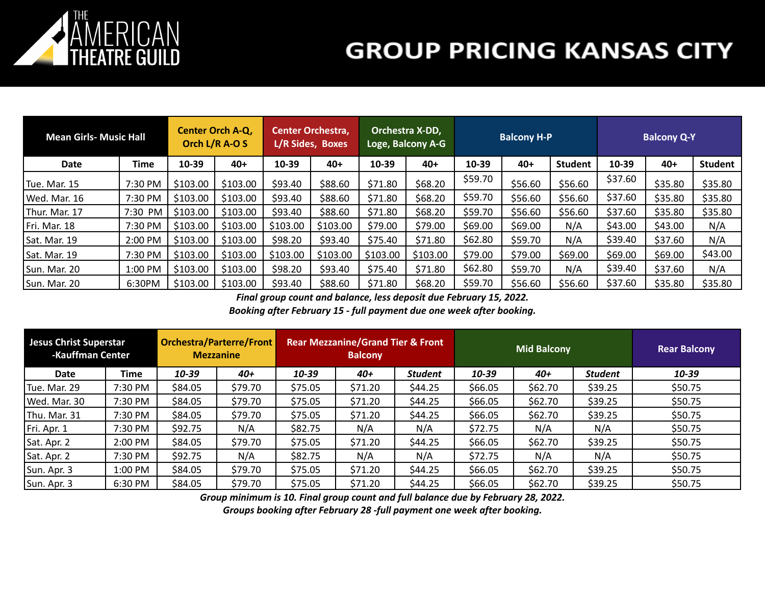

| <b>Mean Girls- Music Hall</b> |         | <b>Center Orch A-Q,</b><br>Orch L/R A-O S |          | <b>Center Orchestra,</b><br>L/R Sides, Boxes |          | Orchestra X-DD,<br>Loge, Balcony A-G |          |         | <b>Balcony H-P</b> |                | <b>Balcony Q-Y</b> |         |                |
|-------------------------------|---------|-------------------------------------------|----------|----------------------------------------------|----------|--------------------------------------|----------|---------|--------------------|----------------|--------------------|---------|----------------|
| Date                          | Time    | 10-39                                     | $40+$    | 10-39                                        | $40+$    | 10-39                                | $40+$    | 10-39   | $40+$              | <b>Student</b> | 10-39              | $40+$   | <b>Student</b> |
| Tue. Mar. 15                  | 7:30 PM | \$103.00                                  | \$103.00 | \$93.40                                      | \$88.60  | \$71.80                              | \$68.20  | \$59.70 | \$56.60            | \$56.60        | \$37.60            | \$35.80 | \$35.80        |
| Wed. Mar. 16                  | 7:30 PM | \$103.00                                  | \$103.00 | \$93.40                                      | \$88.60  | \$71.80                              | \$68.20  | \$59.70 | \$56.60            | \$56.60        | \$37.60            | \$35.80 | \$35.80        |
| Thur. Mar. 17                 | 7:30 PM | \$103.00                                  | \$103.00 | \$93.40                                      | \$88.60  | \$71.80                              | \$68.20  | \$59.70 | \$56.60            | \$56.60        | \$37.60            | \$35.80 | \$35.80        |
| Fri. Mar. 18                  | 7:30 PM | \$103.00                                  | \$103.00 | \$103.00                                     | \$103.00 | \$79.00                              | \$79.00  | \$69.00 | \$69.00            | N/A            | \$43.00            | \$43.00 | N/A            |
| Sat. Mar. 19                  | 2:00 PM | \$103.00                                  | \$103.00 | \$98.20                                      | \$93.40  | \$75.40                              | \$71.80  | \$62.80 | \$59.70            | N/A            | \$39.40            | \$37.60 | N/A            |
| Sat. Mar. 19                  | 7:30 PM | \$103.00                                  | \$103.00 | \$103.00                                     | \$103.00 | \$103.00                             | \$103.00 | \$79.00 | \$79.00            | \$69.00        | \$69.00            | \$69.00 | \$43.00        |
| Sun. Mar. 20                  | 1:00 PM | \$103.00                                  | \$103.00 | \$98.20                                      | \$93.40  | \$75.40                              | \$71.80  | \$62.80 | \$59.70            | N/A            | \$39.40            | \$37.60 | N/A            |
| Sun. Mar. 20                  | 6:30PM  | \$103.00                                  | \$103.00 | \$93.40                                      | \$88.60  | \$71.80                              | \$68.20  | \$59.70 | \$56.60            | \$56.60        | \$37.60            | \$35.80 | \$35.80        |

*Final group count and balance, less deposit due February 15, 2022.*

*Booking after February 15 - full payment due one week after booking.*

| Jesus Christ Superstar<br><b>-Kauffman Center</b> |             | <b>Orchestra/Parterre/Front</b><br><b>Mezzanine</b> |         |         | <b>Rear Mezzanine/Grand Tier &amp; Front</b><br><b>Balcony</b> |                |         | <b>Mid Balcony</b> |                | <b>Rear Balcony</b> |  |
|---------------------------------------------------|-------------|-----------------------------------------------------|---------|---------|----------------------------------------------------------------|----------------|---------|--------------------|----------------|---------------------|--|
| Date                                              | <b>Time</b> | 10-39                                               | 40+     | 10-39   | $40+$                                                          | <b>Student</b> | 10-39   | 40+                | <b>Student</b> | 10-39               |  |
| Tue. Mar. 29                                      | 7:30 PM     | \$84.05                                             | \$79.70 | \$75.05 | \$71.20                                                        | \$44.25        | \$66.05 | \$62.70            | \$39.25        | \$50.75             |  |
| Wed. Mar. 30                                      | 7:30 PM     | \$84.05                                             | \$79.70 | \$75.05 | \$71.20                                                        | \$44.25        | \$66.05 | \$62.70            | \$39.25        | \$50.75             |  |
| Thu. Mar. 31                                      | 7:30 PM     | \$84.05                                             | \$79.70 | \$75.05 | \$71.20                                                        | \$44.25        | \$66.05 | \$62.70            | \$39.25        | \$50.75             |  |
| Fri. Apr. 1                                       | 7:30 PM     | \$92.75                                             | N/A     | \$82.75 | N/A                                                            | N/A            | \$72.75 | N/A                | N/A            | \$50.75             |  |
| Sat. Apr. 2                                       | 2:00 PM     | \$84.05                                             | \$79.70 | \$75.05 | \$71.20                                                        | \$44.25        | \$66.05 | \$62.70            | \$39.25        | \$50.75             |  |
| Sat. Apr. 2                                       | 7:30 PM     | \$92.75                                             | N/A     | \$82.75 | N/A                                                            | N/A            | \$72.75 | N/A                | N/A            | \$50.75             |  |
| Sun. Apr. 3<br>1:00 PM                            |             | \$84.05                                             | \$79.70 | \$75.05 | \$71.20                                                        | \$44.25        | \$66.05 | \$62.70            | \$39.25        | \$50.75             |  |
| 6:30 PM<br>Sun. Apr. 3                            |             | \$84.05                                             | \$79.70 | \$75.05 | \$71.20                                                        | \$44.25        | \$66.05 | \$62.70            | \$39.25        | \$50.75             |  |

*Group minimum is 10. Final group count and full balance due by February 28, 2022.*

*Groups booking after February 28 -full payment one week after booking.*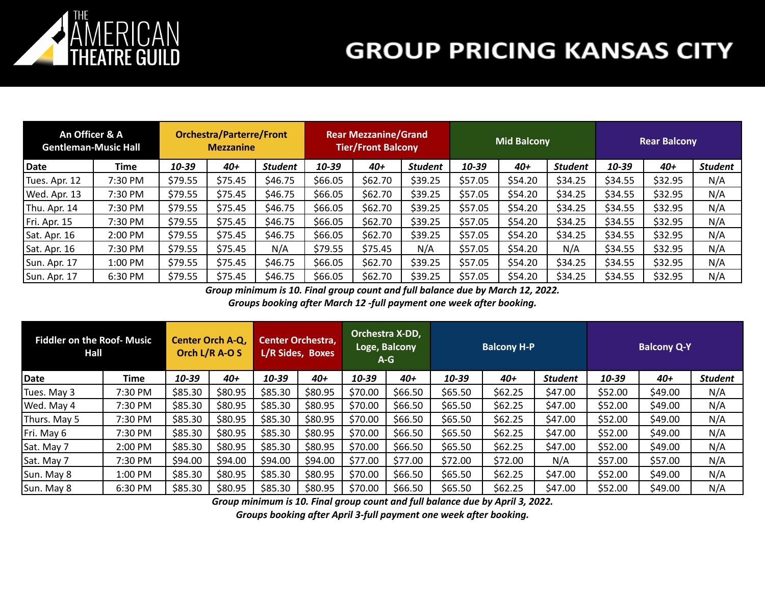

| An Officer & A<br><b>Gentleman-Music Hall</b> |         | <b>Orchestra/Parterre/Front</b><br><b>Mezzanine</b> |         |                | <b>Rear Mezzanine/Grand</b><br><b>Tier/Front Balcony</b> |         |         |         | <b>Mid Balcony</b> |                | <b>Rear Balcony</b> |         |                |
|-----------------------------------------------|---------|-----------------------------------------------------|---------|----------------|----------------------------------------------------------|---------|---------|---------|--------------------|----------------|---------------------|---------|----------------|
| Date                                          | Time    | 10-39                                               | $40+$   | <b>Student</b> | 10-39                                                    | $40+$   | Student | 10-39   | $40+$              | <b>Student</b> | 10-39               | $40+$   | <b>Student</b> |
| Tues. Apr. 12                                 | 7:30 PM | \$79.55                                             | \$75.45 | \$46.75        | \$66.05                                                  | \$62.70 | \$39.25 | \$57.05 | \$54.20            | \$34.25        | \$34.55             | \$32.95 | N/A            |
| Wed. Apr. 13                                  | 7:30 PM | \$79.55                                             | \$75.45 | \$46.75        | \$66.05                                                  | \$62.70 | \$39.25 | \$57.05 | \$54.20            | \$34.25        | \$34.55             | \$32.95 | N/A            |
| Thu. Apr. 14                                  | 7:30 PM | \$79.55                                             | \$75.45 | \$46.75        | \$66.05                                                  | \$62.70 | \$39.25 | \$57.05 | \$54.20            | \$34.25        | \$34.55             | \$32.95 | N/A            |
| Fri. Apr. 15                                  | 7:30 PM | \$79.55                                             | \$75.45 | \$46.75        | \$66.05                                                  | \$62.70 | \$39.25 | \$57.05 | \$54.20            | \$34.25        | \$34.55             | \$32.95 | N/A            |
| Sat. Apr. 16                                  | 2:00 PM | \$79.55                                             | \$75.45 | \$46.75        | \$66.05                                                  | \$62.70 | \$39.25 | \$57.05 | \$54.20            | \$34.25        | \$34.55             | \$32.95 | N/A            |
| Sat. Apr. 16                                  | 7:30 PM | \$79.55                                             | \$75.45 | N/A            | \$79.55                                                  | \$75.45 | N/A     | \$57.05 | \$54.20            | N/A            | \$34.55             | \$32.95 | N/A            |
| Sun. Apr. 17                                  | 1:00 PM | \$79.55                                             | \$75.45 | \$46.75        | \$66.05                                                  | \$62.70 | \$39.25 | \$57.05 | \$54.20            | \$34.25        | \$34.55             | \$32.95 | N/A            |
| Sun. Apr. 17                                  | 6:30 PM | \$79.55                                             | \$75.45 | \$46.75        | \$66.05                                                  | \$62.70 | \$39.25 | \$57.05 | \$54.20            | \$34.25        | \$34.55             | \$32.95 | N/A            |

*Group minimum is 10. Final group count and full balance due by March 12, 2022.*

*Groups booking after March 12 -full payment one week after booking.*

| <b>Fiddler on the Roof- Music</b><br>Hall |         | <b>Center Orch A-Q,</b><br>Orch L/R A-O S |         | <b>Center Orchestra,</b><br>L/R Sides, Boxes |         | Orchestra X-DD,<br>Loge, Balcony<br>$A-G$ |         |         | <b>Balcony H-P</b> |                | <b>Balcony Q-Y</b> |         |                |
|-------------------------------------------|---------|-------------------------------------------|---------|----------------------------------------------|---------|-------------------------------------------|---------|---------|--------------------|----------------|--------------------|---------|----------------|
| Date                                      | Time    | 10-39                                     | 40+     | 10-39                                        | 40+     | 10-39                                     | $40+$   | 10-39   | 40+                | <b>Student</b> | 10-39              | $40+$   | <b>Student</b> |
| Tues. May 3                               | 7:30 PM | \$85.30                                   | \$80.95 | \$85.30                                      | \$80.95 | \$70.00                                   | \$66.50 | \$65.50 | \$62.25            | \$47.00        | \$52.00            | \$49.00 | N/A            |
| Wed. May 4                                | 7:30 PM | \$85.30                                   | \$80.95 | \$85.30                                      | \$80.95 | \$70.00                                   | \$66.50 | \$65.50 | \$62.25            | \$47.00        | \$52.00            | \$49.00 | N/A            |
| Thurs. May 5                              | 7:30 PM | \$85.30                                   | \$80.95 | \$85.30                                      | \$80.95 | \$70.00                                   | \$66.50 | \$65.50 | \$62.25            | \$47.00        | \$52.00            | \$49.00 | N/A            |
| Fri. May 6                                | 7:30 PM | \$85.30                                   | \$80.95 | \$85.30                                      | \$80.95 | \$70.00                                   | \$66.50 | \$65.50 | \$62.25            | \$47.00        | \$52.00            | \$49.00 | N/A            |
| Sat. May 7                                | 2:00 PM | \$85.30                                   | \$80.95 | \$85.30                                      | \$80.95 | \$70.00                                   | \$66.50 | \$65.50 | \$62.25            | \$47.00        | \$52.00            | \$49.00 | N/A            |
| Sat. May 7                                | 7:30 PM | \$94.00                                   | \$94.00 | \$94.00                                      | \$94.00 | \$77.00                                   | \$77.00 | \$72.00 | \$72.00            | N/A            | \$57.00            | \$57.00 | N/A            |
| Sun. May 8                                | 1:00 PM | \$85.30                                   | \$80.95 | \$85.30                                      | \$80.95 | \$70.00                                   | \$66.50 | \$65.50 | \$62.25            | \$47.00        | \$52.00            | \$49.00 | N/A            |
| Sun. May 8                                | 6:30 PM | \$85.30                                   | \$80.95 | \$85.30                                      | \$80.95 | \$70.00                                   | \$66.50 | \$65.50 | \$62.25            | \$47.00        | \$52.00            | \$49.00 | N/A            |

*Group minimum is 10. Final group count and full balance due by April 3, 2022.*

*Groups booking after April 3-full payment one week after booking.*